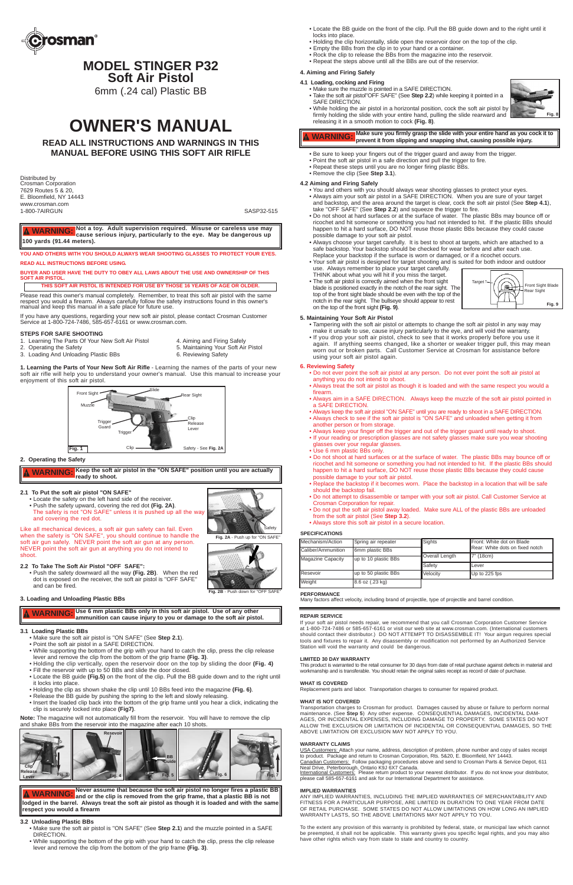

## **MODEL STINGER P32**

**Soft Air Pistol**

6mm (.24 cal) Plastic BB

## **OWNER'S MANUAL**

Distributed by Crosman Corporation 7629 Routes 5 & 20, E. Bloomfield, NY 14443 www.crosman.com 1-800-7AIRGUN SASP32-515

## **READ ALL INSTRUCTIONS AND WARNINGS IN THIS MANUAL BEFORE USING THIS SOFT AIR RIFLE**

## **SPECIFICATIONS**

## **PERFORMANCE**

Many factors affect velocity, including brand of projectile, type of projectile and barrel condition.

| Mechanism/Action   | Spring air repeater  | Sights          | <b>IFront: White dot on Blade</b> |
|--------------------|----------------------|-----------------|-----------------------------------|
| Caliber/Ammunition | 6mm plastic BBs      |                 | Rear: White dots on fixed notch   |
|                    |                      | Overall Length  | 7" (18cm)                         |
| Magazine Capacity  | up to 10 plastic BBs |                 |                                   |
|                    |                      | <b>I</b> Safetv | ILever                            |
| Resevoir           | up to 50 plastic BBs | Velocity        | Up to 225 fps                     |
| Weight             | 8.6 oz (.23 kg)      |                 |                                   |

## **REPAIR SERVICE**

If your soft air pistol needs repair, we recommend that you call Crosman Corporation Customer Service at 1-800-724-7486 or 585-657-6161 or visit our web site at www.crosman.com. (International customers should contact their distributor.) DO NOT ATTEMPT TO DISASSEMBLE IT! Your airgun requires special tools and fixtures to repair it. Any disassembly or modification not performed by an Authorized Service Station will void the warranty and could be dangerous.

USA Customers: Attach your name, address, description of problem, phone number and copy of sales receipt to product. Package and return to Crosman Corporation, Rts. 5&20, E. Bloomfield, NY 14443.<br><u>Canadian Customers: </u>Follow packaging procedures above and send to Crosman Parts & Service Depot, 611 Neal Drive, Peterborough, Ontario K9J 6X7 Canada.<br><u>International Customers:</u> Please return product to your nearest distributor. If you do not know your distributor,

#### **LIMITED 30 DAY WARRANTY**

This product is warranted to the retail consumer for 30 days from date of retail purchase against defects in material and workmanship and is transferable. You should retain the original sales receipt as record of date of purchase.

#### **WHAT IS COVERED**

Replacement parts and labor. Transportation charges to consumer for repaired product.

#### **WHAT IS NOT COVERED**

Transportation charges to Crosman for product. Damages caused by abuse or failure to perform normal maintenance. (See **Step 5**) Any other expense. CONSEQUENTIAL DAMAGES, INCIDENTAL DAM-AGES, OR INCIDENTAL EXPENSES, INCLUDING DAMAGE TO PROPERTY. SOME STATES DO NOT ALLOW THE EXCLUSION OR LIMITATION OF INCIDENTAL OR CONSEQUENTIAL DAMAGES, SO THE ABOVE LIMITATION OR EXCLUSION MAY NOT APPLY TO YOU.

#### **WARRANTY CLAIMS**

please call 585-657-6161 and ask for our International Department for assistance.

#### **IMPLIED WARRANTIES**

ANY IMPLIED WARRANTIES, INCLUDING THE IMPLIED WARRANTIES OF MERCHANTABILITY AND FITNESS FOR A PARTICULAR PURPOSE, ARE LIMITED IN DURATION TO ONE YEAR FROM DATE OF RETAIL PURCHASE. SOME STATES DO NOT ALLOW LIMITATIONS ON HOW LONG AN IMPLIED WARRANTY LASTS, SO THE ABOVE LIMITATIONS MAY NOT APPLY TO YOU.

To the extent any provision of this warranty is prohibited by federal, state, or municipal law which cannot be preempted, it shall not be applicable. This warranty gives you specific legal rights, and you may also have other rights which vary from state to state and country to country.

- Locate the BB guide on the front of the clip. Pull the BB guide down and to the right until it locks into place.
- Holding the clip horizontally, slide open the reservoir door on the top of the clip.
- Empty the BBs from the clip in to your hand or a container.
- Rock the clip to release the BBs from the magazine into the reservoir.
- Repeat the steps above until all the BBs are out of the reservior.

## **4. Aiming and Firing Safely**

## **4.1 Loading, cocking and Firing**

- Make sure the muzzle is pointed in a SAFE DIRECTION. • Take the soft air pistol"OFF SAFE" (See **Step 2.2**) while keeping it pointed in a
- SAFE DIRECTION. • While holding the air pistol in a horizontal position, cock the soft air pistol by firmly holding the slide with your entire hand, pulling the slide rearward and releasing it in a smooth motion to cock **(Fig. 8)**.

- Be sure to keep your fingers out of the trigger guard and away from the trigger.
- Point the soft air pistol in a safe direction and pull the trigger to fire.
- Repeat these steps until you are no longer firing plastic BBs.
- Remove the clip (See **Step 3.1**).

## **4.2 Aiming and Firing Safely**

- You and others with you should always wear shooting glasses to protect your eyes. • Always aim your soft air pistol in a SAFE DIRECTION. When you are sure of your target and backstop, and the area around the target is clear, cock the soft air pistol (See **Step 4.1**), take "OFF SAFE" (See **Step 2.2**) and squeeze the trigger to fire.
- Do not shoot at hard surfaces or at the surface of water. The plastic BBs may bounce off or ricochet and hit someone or something you had not intended to hit. If the plastic BBs should happen to hit a hard surface, DO NOT reuse those plastic BBs because they could cause possible damage to your soft air pistol.
- Always choose your target carefully. It is best to shoot at targets, which are attached to a safe backstop. Your backstop should be checked for wear before and after each use. Replace your backstop if the surface is worn or damaged, or if a ricochet occurs.
- Your soft air pistol is designed for target shooting and is suited for both indoor and outdoor use. Always remember to place your target carefully.
- THINK about what you will hit if you miss the target. • The soft air pistol is correctly aimed when the front sight blade is positioned exactly in the notch of the rear sight. The top of the front sight blade should be even with the top of the notch in the rear sight. The bullseye should appear to rest on the top of the front sight **(Fig. 9)**.

- While supporting the bottom of the grip with your hand to catch the clip, press the clip release lever and remove the clip from the bottom of the grip frame **(Fig. 3)**.
- Holding the clip vertically, open the reservoir door on the top by sliding the door **(Fig. 4)**
- Fill the reservoir with up to 50 BBs and slide the door closed.
- Locate the BB guide **(Fig.5)** on the front of the clip. Pull the BB guide down and to the right until it locks into place.
- Holding the clip as shown shake the clip until 10 BBs feed into the magazine **(Fig. 6)**.
- Release the BB guide by pushing the spring to the left and slowly releasing.
- Insert the loaded clip back into the bottom of the grip frame until you hear a click, indicating the clip is securely locked into place **(Fig7)**.

## **5. Maintaining Your Soft Air Pistol**

• Tampering with the soft air pistol or attempts to change the soft air pistol in any way may make it unsafe to use, cause injury particularly to the eye, and will void the warranty. • If you drop your soft air pistol, check to see that it works properly before you use it again. If anything seems changed, like a shorter or weaker trigger pull, this may mean worn out or broken parts. Call Customer Service at Crosman for assistance before using your soft air pistol again.

## **6. Reviewing Safety**

- Do not ever point the soft air pistol at any person. Do not ever point the soft air pistol at anything you do not intend to shoot.
- Always treat the soft air pistol as though it is loaded and with the same respect you would a firearm.
- Always aim in a SAFE DIRECTION. Always keep the muzzle of the soft air pistol pointed in a SAFE DIRECTION.
- Always keep the soft air pistol "ON SAFE" until you are ready to shoot in a SAFE DIRECTION. • Always check to see if the soft air pistol is "ON SAFE" and unloaded when getting it from another person or from storage.
- Always keep your finger off the trigger and out of the trigger guard until ready to shoot.
- If your reading or prescription glasses are not safety glasses make sure you wear shooting glasses over your regular glasses.
- Use 6 mm plastic BBs only.
- Do not shoot at hard surfaces or at the surface of water. The plastic BBs may bounce off or ricochet and hit someone or something you had not intended to hit. If the plastic BBs should happen to hit a hard surface, DO NOT reuse those plastic BBs because they could cause possible damage to your soft air pistol.
- Replace the backstop if it becomes worn. Place the backstop in a location that will be safe should the backstop fail.
- Do not attempt to disassemble or tamper with your soft air pistol. Call Customer Service at Crosman Corporation for repair.
- Do not put the soft air pistol away loaded. Make sure ALL of the plastic BBs are unloaded from the soft air pistol (See **Step 3.2**).
- Always store this soft air pistol in a secure location.

**YOU AND OTHERS WITH YOU SHOULD ALWAYS WEAR SHOOTING GLASSES TO PROTECT YOUR EYES.**

## **READ ALL INSTRUCTIONS BEFORE USING.**

**BUYER AND USER HAVE THE DUTY TO OBEY ALL LAWS ABOUT THE USE AND OWNERSHIP OF THIS SOFT AIR PISTOL.**

Please read this owner's manual completely. Remember, to treat this soft air pistol with the same respect you would a firearm. Always carefully follow the safety instructions found in this owner's manual and keep this manual in a safe place for future use.

If you have any questions, regarding your new soft air pistol, please contact Crosman Customer Service at 1-800-724-7486, 585-657-6161 or www.crosman.com.

**1. Learning the Parts of Your New Soft Air Rifle** - Learning the names of the parts of your new soft air rifle will help you to understand your owner's manual. Use this manual to increase your enjoyment of this soft air pistol.

## **2. Operating the Safety**

## **2.1 To Put the soft air pistol "ON SAFE"**

- Locate the safety on the left hand side of the receiver. • Push the safety upward, covering the red dot **(Fig. 2A)**.
- The safety is not "ON SAFE" unless it is pushed up all the way and covering the red dot.

Like all mechanical devices, a soft air gun safety can fail. Even when the safety is "ON SAFE", you should continue to handle the soft air gun safely. NEVER point the soft air gun at any person. NEVER point the soft air gun at anything you do not intend to shoot.

## **2.2 To Take The Soft Air Pistol "OFF SAFE":**

• Push the safety downward all the way **(Fig. 2B)**. When the red dot is exposed on the receiver, the soft air pistol is "OFF SAFE" and can be fired.

## **3. Loading and Unloading Plastic BBs**

- **3.1 Loading Plastic BBs**
	- Make sure the soft air pistol is "ON SAFE" (See **Step 2.1**). • Point the soft air pistol in a SAFE DIRECTION.
- 

**Note:** The magazine will not automatically fill from the reservoir. You will have to remove the clip and shake BBs from the reservoir into the magazine after each 10 shots.

## **3.2 Unloading Plastic BBs**

- Make sure the soft air pistol is "ON SAFE" (See **Step 2.1**) and the muzzle pointed in a SAFE DIRECTION.
- While supporting the bottom of the grip with your hand to catch the clip, press the clip release lever and remove the clip from the bottom of the grip frame **(Fig. 3)**.

**Not a toy. Adult supervision required. Misuse or careless use may cause serious injury, particularly to the eye. May be dangerous up 100 yards (91.44 meters). WARNING:**

## **STEPS FOR SAFE SHOOTING**

- 1. Learning The Parts Of Your New Soft Air Pistol 4. Aiming and Firing Safely
- 2. Operating the Safety 6. Maintaining Your Soft Air Pistol
- 
- 3. Loading And Unloading Plastic BBs 6. Reviewing Safety



**Keep the soft air pistol in the "ON SAFE" position until you are actually WARNING: ready to shoot.** 

**THIS SOFT AIR PISTOL IS INTENDED FOR USE BY THOSE 16 YEARS OF AGE OR OLDER.**



Fig. 2B - Push down for "OFF SAFE"

**Use 6 mm plastic BBs only in this soft air pistol. Use of any other WARNING: ammunition can cause injury to you or damage to the soft air pistol.** 



**Never assume that because the soft air pistol no longer fires a plastic BB and or the clip is removed from the grip frame, that a plastic BB is not lodged in the barrel. Always treat the soft air pistol as though it is loaded and with the same respect you would a firearm WARNING:**

## **Make sure you firmly grasp the slide with your entire hand as you cock it to WARNING: prevent it from slipping and snapping shut, causing possible injury.**



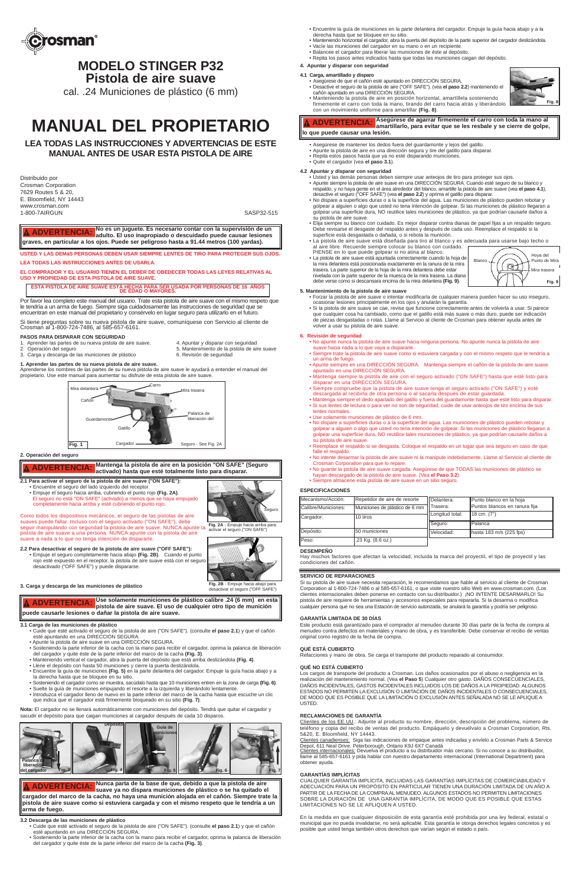

## **MODELO STINGER P32 Pistola de aire suave**

cal. .24 Municiones de plástico (6 mm)

# **MANUAL DEL PROPIETARIO**

Distribuido por Crosman Corporation 7629 Routes 5 & 20, E. Bloomfield, NY 14443 www.crosman.com 1-800-7AIRGUN SASP32-515

## **LEA TODAS LAS INSTRUCCIONES Y ADVERTENCIAS DE ESTE MANUAL ANTES DE USAR ESTA PISTOLA DE AIRE**

## **ESPECIFICACIONES**

#### **DESEMPEÑO**

Hay muchos factores que afectan la velocidad, incluida la marca del proyectil, el tipo de proyectil y las condiciones del cañón.

| Mecanismo/Acción:   | Repetidor de aire de resorte   | Delantera:<br>Trasera: | Punto blanco en la hoja<br>Puntos blancos en ranura fija |
|---------------------|--------------------------------|------------------------|----------------------------------------------------------|
| Calibre/Municiones: | Municiones de plástico de 6 mm |                        |                                                          |
| Cargador:           | 10 tiros                       | Longitud total:        | $18$ cm. $(7")$                                          |
|                     |                                | Seguro:                | <b>I</b> Palanca                                         |
| Depósito:           | 50 municiones                  | Velocidad:             | hasta 183 m/s (225 fps)                                  |
| Peso:               | $.23$ Kg. $(8.6$ oz.)          |                        |                                                          |

#### **SERVICIO DE REPARACIONES**

Si su pistola de aire suave necesita reparación, le recomendamos que hable al servicio al cliente de Crosman Corporation al 1-800-724-7486 o al 585-657-6161, o que visite nuestro sitio Web en www.crosman.com. (Los clientes internacionales deben ponerse en contacto con su distribuidor.) ¡NO INTENTE DESARMARLO! Su pistola de aire requiere de herramientas y accesorios especiales para repararla. Si la desarma o modifica cualquier persona que no sea una Estación de servicio autorizada, se anulará la garantía y podría ser peligroso.

Clientes canadienses: Siga las indicaciones de empaque antes indicadas y envíelo a Crosman Parts & Service Depot, 611 Neal Drive. Peterborough, Ontario K9J 6X7 Canadá<br><u>Clientes internacionales:</u> Devuelva el producto a su distribuidor más cercano. Si no conoce a su distribuidor,

#### **GARANTÍA LIMITADA DE 30 DÍAS**

Este producto está garantizado para el comprador al menudeo durante 30 días partir de la fecha de compra al menudeo contra defectos en materiales y mano de obra, y es transferible. Debe conservar el recibo de ventas original como registro de la fecha de compra.

#### **QUÉ ESTÁ CUBIERTO**

Refacciones y mano de obra. Se carga el transporte del producto reparado al consumidor.

## **QUÉ NO ESTÁ CUBIERTO**

Los cargos de transporte del producto a Crosman. Los daños ocasionados por el abuso o negligencia en la realización del mantenimiento normal. (Vea **el Paso 5**) Cualquier otro gasto. DAÑOS CONSECUENCIALES, DAÑOS INCIDENTALES, GASTOS INCIDENTALES INCLUIDOS LOS DE DAÑOS A LA PROPIEDAD. ALGUNOS ESTADOS NO PERMITEN LA EXCLUSIÓN O LIMITACIÓN DE DAÑOS INCIDENTALES O CONSECUENCIALES, DE MODO QUE ES POSIBLE QUE LA LIMITACIÓN O EXCLUSIÓN ANTES SEÑALADA NO SE LE APLIQUE A USTED.

## **RECLAMACIONES DE GARANTÍA**

Clientes de los EE.UU.: Adjunte al producto su nombre, dirección, descripción del problema, número de teléfono y copia del recibo de ventas del producto. Empáquelo y devuélvalo a Crosman Corporation, Rts. 5&20, E. Bloomfield, NY 14443.

llame al 585-657-6161 y pida hablar con nuestro departamento internacional (International Department) para obtener ayuda.

## **GARANTÍAS IMPLÍCITAS**

CUALQUIER GARANTÍA IMPLÍCITA, INCLUIDAS LAS GARANTÍAS IMPLÍCITAS DE COMERCIABILIDAD Y ADECUACIÓN PARA UN PROPÓSITO EN PARTICULAR TIENEN UNA DURACIÓN LIMITADA DE UN AÑO A PARTIR DE LA FECHA DE LA COMPRA AL MENUDEO. ALGUNOS ESTADOS NO PERMITEN LIMITACIONES SOBRE LA DURACIÓN DE UNA GARANTÍA IMPLÍCITA, DE MODO QUE ES POSIBLE QUE ESTAS LIMITACIONES NO SE LE APLIQUEN A USTED.

En la medida en que cualquier disposición de esta garantía esté prohibida por una ley federal, estatal o municipal que no pueda invalidarse, no será aplicable. Esta garantía le otorga derechos legales concretos y es posible que usted tenga también otros derechos que varían según el estado o país.

- Encuentre la guía de municiones en la parte delantera del cargador. Empuje la guía hacia abajo y a la derecha hasta que se bloquee en su sitio.
- Manteniendo horizontal el cargador, abra la puerta del depósito de la parte superior del cargador deslizándola. • Vacíe las municiones del cargador en su mano o en un recipiente.
- Balancee el cargador para liberar las municiones de éste al depósito.
- Repita los pasos antes indicados hasta que todas las municiones caigan del depósito.
- **4. Apuntar y disparar con seguridad**

## **4.1 Carga, amartillado y disparo**

- Asegúrese de que el cañón esté apuntado en DIRECCIÓN SEGURA. • Desactive el seguro de la pistola de aire ("OFF SAFE"). (vea **el paso 2.2**) manteniendo el cañón apuntado en una DIRECCIÓN SEGURA.
- Manteniendo la pistola de aire en posición horizontal, amartíllela sosteniendo firmemente el carro con toda la mano, tirando del carro hacia atrás y liberándolo con un movimiento uniforme para amartillar **(Fig. 8)**.

#### **5. Mantenimiento de la pistola de aire suave**

- 1. Aprender las partes de su nueva pistola de aire suave. 4. Apuntar y disparar con seguridad<br>2. Operación del seguro de aire suave forma de la pistola de aire suave forma de la pistola de aire aire de ai
- 
- 3. Carga y descarga de las municiones de plástico 6. Revisión de seguridad
- Forzar la pistola de aire suave o intentar modificarla de cualquier manera pueden hacer su uso inseguro, ocasionar lesiones principalmente en los ojos y anularán la garantía.
- Si la pistola de aire suave se cae, revise que funcione correctamente antes de volverla a usar. Si parece que cualquier cosa ha cambiado, como que el gatillo está más suave o más duro, puede ser indicación de piezas desgastadas o rotas. Llame al Servicio al cliente de Crosman para obtener ayuda antes de volver a usar su pistola de aire suave.

**Fig. 2B** - Empuje hacia abajo para sactivar el seguro ("OFF SAFE")

5. Mantenimiento de la pistola de aire suave

## **6. Revisión de seguridad**

- No apunte nunca la pistola de aire suave hacia ninguna persona. No apunte nunca la pistola de aire suave hacia nada a lo que vaya a dispararle.
- Siempre trate la pistola de aire suave como si estuviera cargada y con el mismo respeto que le tendría a un arma de fuego.
- Apunte siempre en una DIRECCIÓN SEGURA. Mantenga siempre el cañón de la pistola de aire suave apuntado en una DIRECCIÓN SEGURA.
- Mantenga siempre la pistola de aire con el seguro activado ("ON SAFE") hasta que esté listo para disparar en una DIRECCIÓN SEGURA.
- Siempre compruebe que la pistola de aire suave tenga el seguro activado ("ON SAFE") y esté
- descargada al recibirla de otra persona o al sacarla después de estar guardada.
- Mantenga siempre el dedo apartado del gatillo y fuera del guardamonte hasta que esté listo para disparar. Si sus lentes de lectura o para ver no son de seguridad, cuide de usar anteojos de tiro encima de sus lentes normales.
- Use solamente municiones de plástico de 6 mm.
- No dispare a superficies duras o a la superficie del agua. Las municiones de plástico pueden rebotar y golpear a alguien o algo que usted no tena intención de golpear. Si las municiones de plástico llegaran a golpear una superficie dura, NO reutilice tales municiones de plástico, ya que podrían causarle daños a su pistola de aire suave.
- Reemplace el respaldo si se desgasta. Coloque el respaldo en un lugar que sea seguro en caso de que
- falle el respaldo. • No intente desarmar la pistola de aire suave ni la manipule indebidamente. Llame al Servicio al cliente de
- Crosman Corporation para que lo repare. • No guarde la pistola de aire suave cargada. Asegúrese de que TODAS las municiones de plástico se hayan descargado de la pistola de aire suave. (Vea **el Paso 3.2**)
- Siempre almacene esta pistola de aire suave en un sitio seguro.

**USTED Y LAS DEMáS PERSONAS DEBEN USAR SIEMPRE LENTES DE TIRO PARA PROTEGER SUS OJOS.**

**LEA TODAS LAS INSTRUCCIONES ANTES DE USARLA.**

**EL COMPRADOR Y EL USUARIO TIENEN EL DEBER DE OBEDECER TODAS LAS LEYES RELATIVAS AL USO Y PROPIEDAD DE ESTA PISTOLA DE AIRE SUAVE.**

Por favor lea completo este manual del usuario. Trate esta pistola de aire suave con el mismo respeto que le tendría a un arma de fuego. Siempre siga cuidadosamente las instrucciones de seguridad que se encuentran en este manual del propietario y consérvelo en lugar seguro para utilizarlo en el futuro.

Si tiene preguntas sobre su nueva pistola de aire suave, comuníquese con Servicio al cliente de Crosman al 1-800-724-7486, al 585-657-6161.

- Asegúrese de mantener los dedos fuera del guardamonte y lejos del gatillo.
- Apunte la pistola de aire en una dirección segura y tire del gatillo para disparar.
- Repita estos pasos hasta que ya no esté disparando municiones.
- Quite el cargador (vea **el paso 3.1**). **4.2 Apuntar y disparar con seguridad**
	- Usted y las demás personas deben siempre usar anteojos de tiro para proteger sus ojos.
	- Apunte siempre la pistola de aire suave en una DIRECCIÓN SEGURA. Cuando esté seguro de su blanco y respaldo, y no haya gente en el área alrededor del blanco, amartille la pistola de aire suave (vea **el paso 4.1**), desactive el seguro ("OFF SAFE") (vea **el paso 2.2**) y oprima el gatillo para disparar.
	- No dispare a superficies duras o a la superficie del agua. Las municiones de plástico pueden rebotar y golpear a alguien o algo que usted no tena intención de golpear. Si las municiones de plástico llegaran a golpear una superficie dura, NO reutilice tales municiones de plástico, ya que podrían causarle daños a su pistola de aire suave.
	- Elija siempre su blanco con cuidado. Es mejor disparar contra dianas de papel fijas a un respaldo seguro. Debe revisarse el desgaste del respaldo antes y después de cada uso. Reemplace el respaldo si la superficie está desgastada o dañada, o si rebota la munición.
	- La pistola de aire suave está diseñada para tiro al blanco y es adecuada para usarse bajo techo o
	- al aire libre. Recuerde siempre colocar su blanco con cuidado. PIENSE en lo que puede golpear si no atina al blanco. • La pistola de aire suave está apuntada correctamente cuando la hoja de
	- la mira delantera está posicionada exactamente en la ranura de la mira trasera. La parte superior de la hoja de la mira delantera debe estar nivelada con la parte superior de la muesca de la mira trasera. La dian debe verse como si descansara encima de la mira delantera **(Fig. 9)**. Blanco

**1. Aprender las partes de su nueva pistola de aire suave.**

Aprenderse los nombres de las partes de su nueva pistola de aire suave le ayudará a entender el manual del propietario. Use este manual para aumentar su disfrute de esta pistola de aire suave.

#### **2. Operación del seguro**

**2.1 Para activar el seguro de la pistola de aire suave ("ON SAFE"):**

• Encuentre el seguro del lado izquierdo del receptor. • Empuje el seguro hacia arriba, cubriendo el punto rojo **(Fig. 2A)**. El seguro no está "ON SAFE" (activado) a menos que se haya empujado

completamente hacia arriba y esté cubriendo el punto rojo.

Como todos los dispositivos mecánicos, el seguro de las pistolas de aire suaves puede fallar. Incluso con el seguro activado ("ON SAFE"), debe seguir manipulando con seguridad la pistola de aire suave. NUNCA apunte la pistola de aire suave a una persona. NUNCA apunte con la pistola de aire suave a nada a lo que no tenga intención de dispararle.

**2.2 Para desactivar el seguro de la pistola de aire suave ("OFF SAFE"):** • Empuje el seguro completamente hacia abajo **(Fig. 2B)**. Cuando el punto rojo esté expuesto en el receptor, la pistola de aire suave está con el seguro desactivado ("OFF SAFE") y puede dispararse.

**3. Carga y descarga de las municiones de plástico**

- **3.1 Carga de las municiones de plástico**
- Cuide que esté activado el seguro de la pistola de aire ("ON SAFE"). (consulte **el paso 2.1**) y que el cañón esté apuntando en una DIRECCIÓN SEGURA.
- Apunte la pistola de aire suave en una DIRECCIÓN SEGURA.
- Sosteniendo la parte inferior de la cacha con la mano para recibir el cargador, oprima la palanca de liberación

- del cargador y quite éste de la parte inferior del marco de la cacha **(Fig. 3)**.
- Manteniendo vertical el cargador, abra la puerta del depósito que está arriba deslizándola **(Fig. 4)**.
- Llene el depósito con hasta 50 municiones y cierre la puerta deslizándola.
- Encuentre la guía de municiones **(Fig. 5)** en la parte delantera del cargador. Empuje la guía hacia abajo y a la derecha hasta que se bloquee en su sitio.
- Sosteniendo el cargador como se muestra, sacúdalo hasta que 10 municiones entren en la zona de carga **(Fig. 6)**.
- Suelte la guía de municiones empujando el resorte a la izquierda y liberándolo lentamente.
- Introduzca el cargador lleno de nuevo en la parte inferior del marco de la cacha hasta que escuche un clic que indica que el cargador está firmemente bloqueado en su sitio **(Fig. 7)**.

**Nota:** El cargador no se llenará automáticamente con municiones del depósito. Tendrá que quitar el cargador y sacudir el depósito para que caigan municiones al cargador después de cada 10 disparos.

## **3.2 Descarga de las municiones de plástico**

- Cuide que esté activado el seguro de la pistola de aire ("ON SAFE"). (consulte **el paso 2.1**) y que el cañón esté apuntando en una DIRECCIÓN SEGURA.
- Sosteniendo la parte inferior de la cacha con la mano para recibir el cargador, oprima la palanca de liberación del cargador y quite éste de la parte inferior del marco de la cacha **(Fig. 3)**.

## **PASOS PARA DISPARAR CON SEGURIDAD**



**ESTA PISTOLA DE AIRE SUAVE ESTÁ HECHA PARA SER USADA POR PERSONAS DE 16 AÑOS DE EDAD O MAYORES.**



**No es un juguete. Es necesario contar con la supervisión de un adulto. El uso inapropiado o descuidado puede causar lesiones graves, en particular a los ojos. Puede ser peligroso hasta a 91.44 metros (100 yardas). ADVERTENCIA:** 

> **Fig. 2A** - Empuje hacia arriba para activar el seguro ("ON SAFE")

#### **Mantenga la pistola de aire en la posición "ON SAFE" (Seguro activado) hasta que esté totalmente listo para disparar. ADVERTENCIA:**



#### **Use solamente municiones de plástico calibre .24 (6 mm) en esta pistola de aire suave. El uso de cualquier otro tipo de munición puede causarle lesiones o dañar la pistola de aire suave. ADVERTENCIA:**

**Nunca parta de la base de que, debido a que la pistola de aire suave ya no dispara municiones de plástico o se ha quitado el cargador del marco de la cacha, no haya una munición alojada en el cañón. Siempre trate la pistola de aire suave como si estuviera cargada y con el mismo respeto que le tendría a un arma de fuego. ADVERTENCIA:** 

#### **Asegúrese de agarrar firmemente el carro con toda la mano al amartillarlo, para evitar que se les resbale y se cierre de golpe, lo que puede causar una lesión. ADVERTENCIA:**



**Fig. 9**

Hoya del <sup>o</sup>unto de Mir Mira trasera

@∟